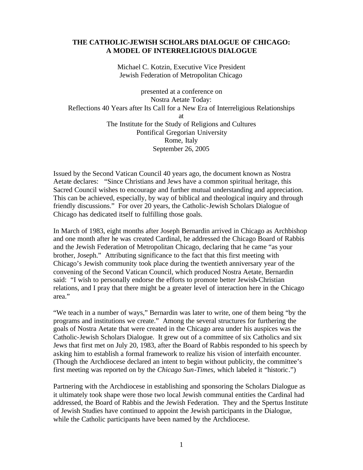## **THE CATHOLIC-JEWISH SCHOLARS DIALOGUE OF CHICAGO: A MODEL OF INTERRELIGIOUS DIALOGUE**

Michael C. Kotzin, Executive Vice President Jewish Federation of Metropolitan Chicago

presented at a conference on Nostra Aetate Today: Reflections 40 Years after Its Call for a New Era of Interreligious Relationships at The Institute for the Study of Religions and Cultures Pontifical Gregorian University Rome, Italy September 26, 2005

Issued by the Second Vatican Council 40 years ago, the document known as Nostra Aetate declares: "Since Christians and Jews have a common spiritual heritage, this Sacred Council wishes to encourage and further mutual understanding and appreciation. This can be achieved, especially, by way of biblical and theological inquiry and through friendly discussions." For over 20 years, the Catholic-Jewish Scholars Dialogue of Chicago has dedicated itself to fulfilling those goals.

In March of 1983, eight months after Joseph Bernardin arrived in Chicago as Archbishop and one month after he was created Cardinal, he addressed the Chicago Board of Rabbis and the Jewish Federation of Metropolitan Chicago, declaring that he came "as your brother, Joseph." Attributing significance to the fact that this first meeting with Chicago's Jewish community took place during the twentieth anniversary year of the convening of the Second Vatican Council, which produced Nostra Aetate, Bernardin said: "I wish to personally endorse the efforts to promote better Jewish-Christian relations, and I pray that there might be a greater level of interaction here in the Chicago area."

"We teach in a number of ways," Bernardin was later to write, one of them being "by the programs and institutions we create." Among the several structures for furthering the goals of Nostra Aetate that were created in the Chicago area under his auspices was the Catholic-Jewish Scholars Dialogue. It grew out of a committee of six Catholics and six Jews that first met on July 20, 1983, after the Board of Rabbis responded to his speech by asking him to establish a formal framework to realize his vision of interfaith encounter. (Though the Archdiocese declared an intent to begin without publicity, the committee's first meeting was reported on by the *Chicago Sun-Times*, which labeled it "historic.")

Partnering with the Archdiocese in establishing and sponsoring the Scholars Dialogue as it ultimately took shape were those two local Jewish communal entities the Cardinal had addressed, the Board of Rabbis and the Jewish Federation. They and the Spertus Institute of Jewish Studies have continued to appoint the Jewish participants in the Dialogue, while the Catholic participants have been named by the Archdiocese.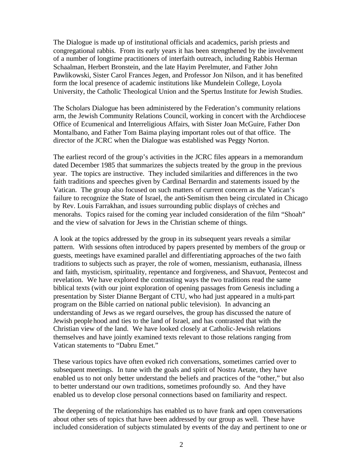The Dialogue is made up of institutional officials and academics, parish priests and congregational rabbis. From its early years it has been strengthened by the involvement of a number of longtime practitioners of interfaith outreach, including Rabbis Herman Schaalman, Herbert Bronstein, and the late Hayim Perelmuter, and Father John Pawlikowski, Sister Carol Frances Jegen, and Professor Jon Nilson, and it has benefited form the local presence of academic institutions like Mundelein College, Loyola University, the Catholic Theological Union and the Spertus Institute for Jewish Studies.

The Scholars Dialogue has been administered by the Federation's community relations arm, the Jewish Community Relations Council, working in concert with the Archdiocese Office of Ecumenical and Interreligious Affairs, with Sister Joan McGuire, Father Don Montalbano, and Father Tom Baima playing important roles out of that office. The director of the JCRC when the Dialogue was established was Peggy Norton.

The earliest record of the group's activities in the JCRC files appears in a memorandum dated December 1985 that summarizes the subjects treated by the group in the previous year. The topics are instructive. They included similarities and differences in the two faith traditions and speeches given by Cardinal Bernardin and statements issued by the Vatican. The group also focused on such matters of current concern as the Vatican's failure to recognize the State of Israel, the anti-Semitism then being circulated in Chicago by Rev. Louis Farrakhan, and issues surrounding public displays of crèches and menorahs. Topics raised for the coming year included consideration of the film "Shoah" and the view of salvation for Jews in the Christian scheme of things.

A look at the topics addressed by the group in its subsequent years reveals a similar pattern. With sessions often introduced by papers presented by members of the group or guests, meetings have examined parallel and differentiating approaches of the two faith traditions to subjects such as prayer, the role of women, messianism, euthanasia, illness and faith, mysticism, spirituality, repentance and forgiveness, and Shavuot, Pentecost and revelation. We have explored the contrasting ways the two traditions read the same biblical texts (with our joint exploration of opening passages from Genesis including a presentation by Sister Dianne Bergant of CTU, who had just appeared in a multi-part program on the Bible carried on national public television). In advancing an understanding of Jews as we regard ourselves, the group has discussed the nature of Jewish peoplehood and ties to the land of Israel, and has contrasted that with the Christian view of the land. We have looked closely at Catholic-Jewish relations themselves and have jointly examined texts relevant to those relations ranging from Vatican statements to "Dabru Emet."

These various topics have often evoked rich conversations, sometimes carried over to subsequent meetings. In tune with the goals and spirit of Nostra Aetate, they have enabled us to not only better understand the beliefs and practices of the "other," but also to better understand our own traditions, sometimes profoundly so. And they have enabled us to develop close personal connections based on familiarity and respect.

The deepening of the relationships has enabled us to have frank and open conversations about other sets of topics that have been addressed by our group as well. These have included consideration of subjects stimulated by events of the day and pertinent to one or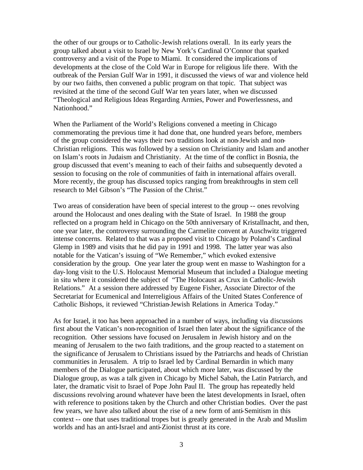the other of our groups or to Catholic-Jewish relations overall. In its early years the group talked about a visit to Israel by New York's Cardinal O'Connor that sparked controversy and a visit of the Pope to Miami. It considered the implications of developments at the close of the Cold War in Europe for religious life there. With the outbreak of the Persian Gulf War in 1991, it discussed the views of war and violence held by our two faiths, then convened a public program on that topic. That subject was revisited at the time of the second Gulf War ten years later, when we discussed "Theological and Religious Ideas Regarding Armies, Power and Powerlessness, and Nationhood."

When the Parliament of the World's Religions convened a meeting in Chicago commemorating the previous time it had done that, one hundred years before, members of the group considered the ways their two traditions look at non-Jewish and non-Christian religions. This was followed by a session on Christianity and Islam and another on Islam's roots in Judaism and Christianity. At the time of the conflict in Bosnia, the group discussed that event's meaning to each of their faiths and subsequently devoted a session to focusing on the role of communities of faith in international affairs overall. More recently, the group has discussed topics ranging from breakthroughs in stem cell research to Mel Gibson's "The Passion of the Christ."

Two areas of consideration have been of special interest to the group -- ones revolving around the Holocaust and ones dealing with the State of Israel. In 1988 the group reflected on a program held in Chicago on the 50th anniversary of Kristallnacht, and then, one year later, the controversy surrounding the Carmelite convent at Auschwitz triggered intense concerns. Related to that was a proposed visit to Chicago by Poland's Cardinal Glemp in 1989 and visits that he did pay in 1991 and 1998. The latter year was also notable for the Vatican's issuing of "We Remember," which evoked extensive consideration by the group. One year later the group went en masse to Washington for a day-long visit to the U.S. Holocaust Memorial Museum that included a Dialogue meeting in situ where it considered the subject of "The Holocaust as Crux in Catholic-Jewish Relations." At a session there addressed by Eugene Fisher, Associate Director of the Secretariat for Ecumenical and Interreligious Affairs of the United States Conference of Catholic Bishops, it reviewed "Christian-Jewish Relations in America Today."

As for Israel, it too has been approached in a number of ways, including via discussions first about the Vatican's non-recognition of Israel then later about the significance of the recognition. Other sessions have focused on Jerusalem in Jewish history and on the meaning of Jerusalem to the two faith traditions, and the group reacted to a statement on the significance of Jerusalem to Christians issued by the Patriarchs and heads of Christian communities in Jerusalem. A trip to Israel led by Cardinal Bernardin in which many members of the Dialogue participated, about which more later, was discussed by the Dialogue group, as was a talk given in Chicago by Michel Sabah, the Latin Patriarch, and later, the dramatic visit to Israel of Pope John Paul II. The group has repeatedly held discussions revolving around whatever have been the latest developments in Israel, often with reference to positions taken by the Church and other Christian bodies. Over the past few years, we have also talked about the rise of a new form of anti-Semitism in this context -- one that uses traditional tropes but is greatly generated in the Arab and Muslim worlds and has an anti-Israel and anti-Zionist thrust at its core.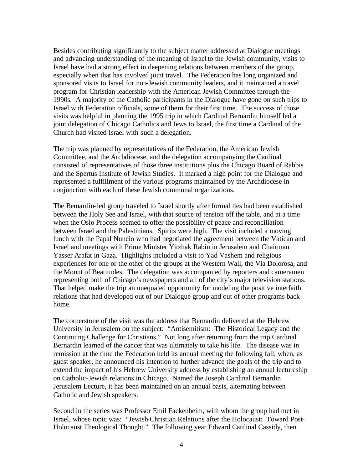Besides contributing significantly to the subject matter addressed at Dialogue meetings and advancing understanding of the meaning of Israel to the Jewish community, visits to Israel have had a strong effect in deepening relations between members of the group, especially when that has involved joint travel. The Federation has long organized and sponsored visits to Israel for non-Jewish community leaders, and it maintained a travel program for Christian leadership with the American Jewish Committee through the 1990s. A majority of the Catholic participants in the Dialogue have gone on such trips to Israel with Federation officials, some of them for their first time. The success of those visits was helpful in planning the 1995 trip in which Cardinal Bernardin himself led a joint delegation of Chicago Catholics and Jews to Israel, the first time a Cardinal of the Church had visited Israel with such a delegation.

The trip was planned by representatives of the Federation, the American Jewish Committee, and the Archdiocese, and the delegation accompanying the Cardinal consisted of representatives of those three institutions plus the Chicago Board of Rabbis and the Spertus Institute of Jewish Studies. It marked a high point for the Dialogue and represented a fulfillment of the various programs maintained by the Archdiocese in conjunction with each of these Jewish communal organizations.

The Bernardin-led group traveled to Israel shortly after formal ties had been established between the Holy See and Israel, with that source of tension off the table, and at a time when the Oslo Process seemed to offer the possibility of peace and reconciliation between Israel and the Palestinians. Spirits were high. The visit included a moving lunch with the Papal Nuncio who had negotiated the agreement between the Vatican and Israel and meetings with Prime Minister Yitzhak Rabin in Jerusalem and Chairman Yasser Arafat in Gaza. Highlights included a visit to Yad Vashem and religious experiences for one or the other of the groups at the Western Wall, the Via Dolorosa, and the Mount of Beatitudes. The delegation was accompanied by reporters and cameramen representing both of Chicago's newspapers and all of the city's major television stations. That helped make the trip an unequaled opportunity for modeling the positive interfaith relations that had developed out of our Dialogue group and out of other programs back home.

The cornerstone of the visit was the address that Bernardin delivered at the Hebrew University in Jerusalem on the subject: "Antisemitism: The Historical Legacy and the Continuing Challenge for Christians." Not long after returning from the trip Cardinal Bernardin learned of the cancer that was ultimately to take his life. The disease was in remission at the time the Federation held its annual meeting the following fall, when, as guest speaker, he announced his intention to further advance the goals of the trip and to extend the impact of his Hebrew University address by establishing an annual lectureship on Catholic-Jewish relations in Chicago. Named the Joseph Cardinal Bernardin Jerusalem Lecture, it has been maintained on an annual basis, alternating between Catholic and Jewish speakers.

Second in the series was Professor Emil Fackenheim, with whom the group had met in Israel, whose topic was: "Jewish-Christian Relations after the Holocaust: Toward Post-Holocaust Theological Thought." The following year Edward Cardinal Cassidy, then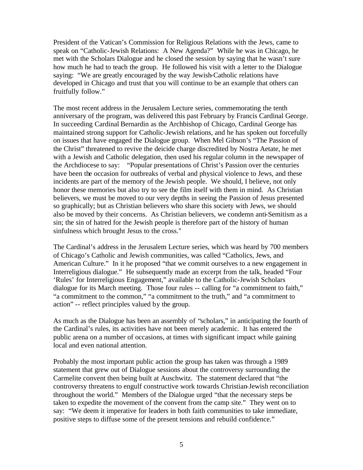President of the Vatican's Commission for Religious Relations with the Jews, came to speak on "Catholic-Jewish Relations: A New Agenda?" While he was in Chicago, he met with the Scholars Dialogue and he closed the session by saying that he wasn't sure how much he had to teach the group. He followed his visit with a letter to the Dialogue saying: "We are greatly encouraged by the way Jewish-Catholic relations have developed in Chicago and trust that you will continue to be an example that others can fruitfully follow."

The most recent address in the Jerusalem Lecture series, commemorating the tenth anniversary of the program, was delivered this past February by Francis Cardinal George. In succeeding Cardinal Bernardin as the Archbishop of Chicago, Cardinal George has maintained strong support for Catholic-Jewish relations, and he has spoken out forcefully on issues that have engaged the Dialogue group. When Mel Gibson's "The Passion of the Christ" threatened to revive the deicide charge discredited by Nostra Aetate, he met with a Jewish and Catholic delegation, then used his regular column in the newspaper of the Archdiocese to say: "Popular presentations of Christ's Passion over the centuries have been the occasion for outbreaks of verbal and physical violence to Jews, and these incidents are part of the memory of the Jewish people. We should, I believe, not only honor these memories but also try to see the film itself with them in mind. As Christian believers, we must be moved to our very depths in seeing the Passion of Jesus presented so graphically; but as Christian believers who share this society with Jews, we should also be moved by their concerns. As Christian believers, we condemn anti-Semitism as a sin; the sin of hatred for the Jewish people is therefore part of the history of human sinfulness which brought Jesus to the cross."

The Cardinal's address in the Jerusalem Lecture series, which was heard by 700 members of Chicago's Catholic and Jewish communities, was called "Catholics, Jews, and American Culture." In it he proposed "that we commit ourselves to a new engagement in Interreligious dialogue." He subsequently made an excerpt from the talk, headed "Four 'Rules' for Interreligious Engagement," available to the Catholic-Jewish Scholars dialogue for its March meeting. Those four rules -- calling for "a commitment to faith," "a commitment to the common," "a commitment to the truth," and "a commitment to action" -- reflect principles valued by the group.

As much as the Dialogue has been an assembly of "scholars," in anticipating the fourth of the Cardinal's rules, its activities have not been merely academic. It has entered the public arena on a number of occasions, at times with significant impact while gaining local and even national attention.

Probably the most important public action the group has taken was through a 1989 statement that grew out of Dialogue sessions about the controversy surrounding the Carmelite convent then being built at Auschwitz. The statement declared that "the controversy threatens to engulf constructive work towards Christian-Jewish reconciliation throughout the world." Members of the Dialogue urged "that the necessary steps be taken to expedite the movement of the convent from the camp site." They went on to say: "We deem it imperative for leaders in both faith communities to take immediate, positive steps to diffuse some of the present tensions and rebuild confidence."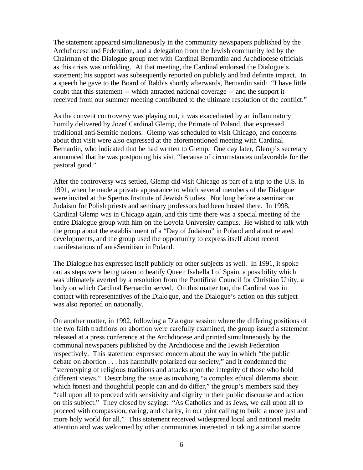The statement appeared simultaneously in the community newspapers published by the Archdiocese and Federation, and a delegation from the Jewish community led by the Chairman of the Dialogue group met with Cardinal Bernardin and Archdiocese officials as this crisis was unfolding. At that meeting, the Cardinal endorsed the Dialogue's statement; his support was subsequently reported on publicly and had definite impact. In a speech he gave to the Board of Rabbis shortly afterwards, Bernardin said: "I have little doubt that this statement -- which attracted national coverage -- and the support it received from our summer meeting contributed to the ultimate resolution of the conflict."

As the convent controversy was playing out, it was exacerbated by an inflammatory homily delivered by Jozef Cardinal Glemp, the Primate of Poland, that expressed traditional anti-Semitic notions. Glemp was scheduled to visit Chicago, and concerns about that visit were also expressed at the aforementioned meeting with Cardinal Bernardin, who indicated that he had written to Glemp. One day later, Glemp's secretary announced that he was postponing his visit "because of circumstances unfavorable for the pastoral good."

After the controversy was settled, Glemp did visit Chicago as part of a trip to the U.S. in 1991, when he made a private appearance to which several members of the Dialogue were invited at the Spertus Institute of Jewish Studies. Not long before a seminar on Judaism for Polish priests and seminary professors had been hosted there. In 1998, Cardinal Glemp was in Chicago again, and this time there was a special meeting of the entire Dialogue group with him on the Loyola University campus. He wished to talk with the group about the establishment of a "Day of Judaism" in Poland and about related developments, and the group used the opportunity to express itself about recent manifestations of anti-Semitism in Poland.

The Dialogue has expressed itself publicly on other subjects as well. In 1991, it spoke out as steps were being taken to beatify Queen Isabella I of Spain, a possibility which was ultimately averted by a resolution from the Pontifical Council for Christian Unity, a body on which Cardinal Bernardin served. On this matter too, the Cardinal was in contact with representatives of the Dialogue, and the Dialogue's action on this subject was also reported on nationally.

On another matter, in 1992, following a Dialogue session where the differing positions of the two faith traditions on abortion were carefully examined, the group issued a statement released at a press conference at the Archdiocese and printed simultaneously by the communal newspapers published by the Archdiocese and the Jewish Federation respectively. This statement expressed concern about the way in which "the public debate on abortion . . . has harmfully polarized our society," and it condemned the "stereotyping of religious traditions and attacks upon the integrity of those who hold different views." Describing the issue as involving "a complex ethical dilemma about which honest and thoughtful people can and do differ," the group's members said they "call upon all to proceed with sensitivity and dignity in their public discourse and action on this subject." They closed by saying: "As Catholics and as Jews, we call upon all to proceed with compassion, caring, and charity, in our joint calling to build a more just and more holy world for all." This statement received widespread local and national media attention and was welcomed by other communities interested in taking a similar stance.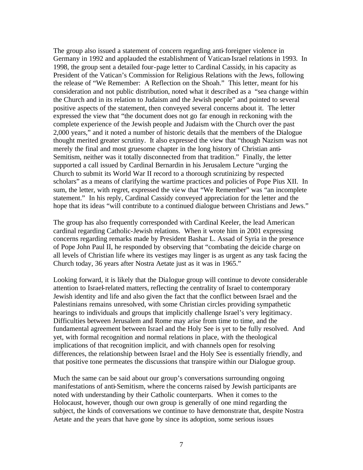The group also issued a statement of concern regarding anti-foreigner violence in Germany in 1992 and applauded the establishment of Vatican-Israel relations in 1993. In 1998, the group sent a detailed four-page letter to Cardinal Cassidy, in his capacity as President of the Vatican's Commission for Religious Relations with the Jews, following the release of "We Remember: A Reflection on the Shoah." This letter, meant for his consideration and not public distribution, noted what it described as a "sea change within the Church and in its relation to Judaism and the Jewish people" and pointed to several positive aspects of the statement, then conveyed several concerns about it. The letter expressed the view that "the document does not go far enough in reckoning with the complete experience of the Jewish people and Judaism with the Church over the past 2,000 years," and it noted a number of historic details that the members of the Dialogue thought merited greater scrutiny. It also expressed the view that "though Nazism was not merely the final and most gruesome chapter in the long history of Christian anti-Semitism, neither was it totally disconnected from that tradition." Finally, the letter supported a call issued by Cardinal Bernardin in his Jerusalem Lecture "urging the Church to submit its World War II record to a thorough scrutinizing by respected scholars" as a means of clarifying the wartime practices and policies of Pope Pius XII. In sum, the letter, with regret, expressed the view that "We Remember" was "an incomplete statement." In his reply, Cardinal Cassidy conveyed appreciation for the letter and the hope that its ideas "will contribute to a continued dialogue between Christians and Jews."

The group has also frequently corresponded with Cardinal Keeler, the lead American cardinal regarding Catholic-Jewish relations. When it wrote him in 2001 expressing concerns regarding remarks made by President Bashar L. Assad of Syria in the presence of Pope John Paul II, he responded by observing that "combating the deicide charge on all levels of Christian life where its vestiges may linger is as urgent as any task facing the Church today, 36 years after Nostra Aetate just as it was in 1965."

Looking forward, it is likely that the Dialogue group will continue to devote considerable attention to Israel-related matters, reflecting the centrality of Israel to contemporary Jewish identity and life and also given the fact that the conflict between Israel and the Palestinians remains unresolved, with some Christian circles providing sympathetic hearings to individuals and groups that implicitly challenge Israel's very legitimacy. Difficulties between Jerusalem and Rome may arise from time to time, and the fundamental agreement between Israel and the Holy See is yet to be fully resolved. And yet, with formal recognition and normal relations in place, with the theological implications of that recognition implicit, and with channels open for resolving differences, the relationship between Israel and the Holy See is essentially friendly, and that positive tone permeates the discussions that transpire within our Dialogue group.

Much the same can be said about our group's conversations surrounding ongoing manifestations of anti-Semitism, where the concerns raised by Jewish participants are noted with understanding by their Catholic counterparts. When it comes to the Holocaust, however, though our own group is generally of one mind regarding the subject, the kinds of conversations we continue to have demonstrate that, despite Nostra Aetate and the years that have gone by since its adoption, some serious issues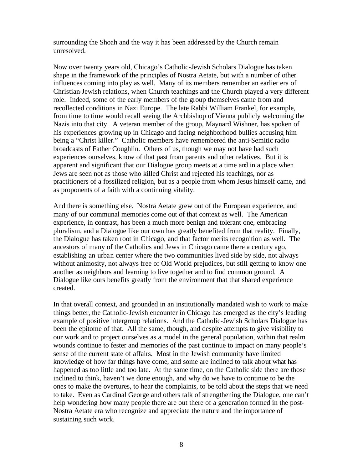surrounding the Shoah and the way it has been addressed by the Church remain unresolved.

Now over twenty years old, Chicago's Catholic-Jewish Scholars Dialogue has taken shape in the framework of the principles of Nostra Aetate, but with a number of other influences coming into play as well. Many of its members remember an earlier era of Christian-Jewish relations, when Church teachings and the Church played a very different role. Indeed, some of the early members of the group themselves came from and recollected conditions in Nazi Europe. The late Rabbi William Frankel, for example, from time to time would recall seeing the Archbishop of Vienna publicly welcoming the Nazis into that city. A veteran member of the group, Maynard Wishner, has spoken of his experiences growing up in Chicago and facing neighborhood bullies accusing him being a "Christ killer." Catholic members have remembered the anti-Semitic radio broadcasts of Father Coughlin. Others of us, though we may not have had such experiences ourselves, know of that past from parents and other relatives. But it is apparent and significant that our Dialogue group meets at a time and in a place when Jews are seen not as those who killed Christ and rejected his teachings, nor as practitioners of a fossilized religion, but as a people from whom Jesus himself came, and as proponents of a faith with a continuing vitality.

And there is something else. Nostra Aetate grew out of the European experience, and many of our communal memories come out of that context as well. The American experience, in contrast, has been a much more benign and tolerant one, embracing pluralism, and a Dialogue like our own has greatly benefited from that reality. Finally, the Dialogue has taken root in Chicago, and that factor merits recognition as well. The ancestors of many of the Catholics and Jews in Chicago came there a century ago, establishing an urban center where the two communities lived side by side, not always without animosity, not always free of Old World prejudices, but still getting to know one another as neighbors and learning to live together and to find common ground. A Dialogue like ours benefits greatly from the environment that that shared experience created.

In that overall context, and grounded in an institutionally mandated wish to work to make things better, the Catholic-Jewish encounter in Chicago has emerged as the city's leading example of positive intergroup relations. And the Catholic-Jewish Scholars Dialogue has been the epitome of that. All the same, though, and despite attempts to give visibility to our work and to project ourselves as a model in the general population, within that realm wounds continue to fester and memories of the past continue to impact on many people's sense of the current state of affairs. Most in the Jewish community have limited knowledge of how far things have come, and some are inclined to talk about what has happened as too little and too late. At the same time, on the Catholic side there are those inclined to think, haven't we done enough, and why do we have to continue to be the ones to make the overtures, to hear the complaints, to be told about the steps that we need to take. Even as Cardinal George and others talk of strengthening the Dialogue, one can't help wondering how many people there are out there of a generation formed in the post-Nostra Aetate era who recognize and appreciate the nature and the importance of sustaining such work.